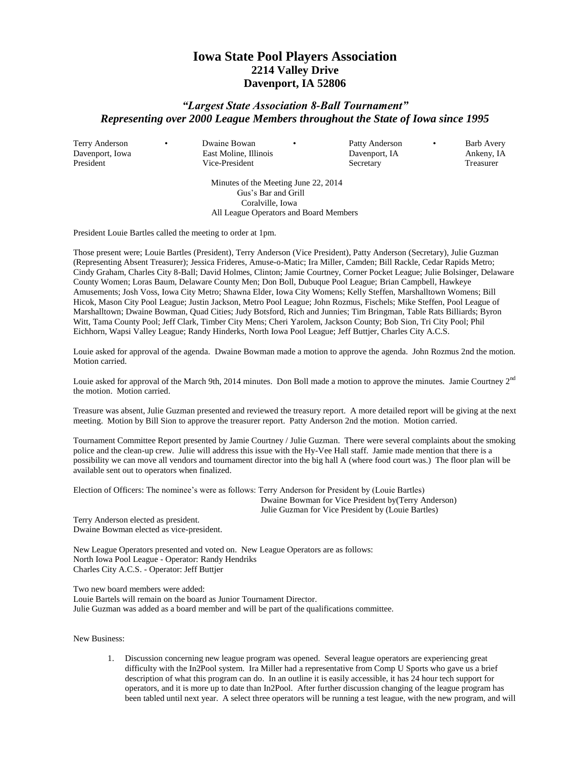## **Iowa State Pool Players Association 2214 Valley Drive Davenport, IA 52806**

## *"Largest State Association 8-Ball Tournament" Representing over 2000 League Members throughout the State of Iowa since 1995*

President Vice-President Secretary Treasurer

Terry Anderson • Dwaine Bowan • Patty Anderson • Barb Avery Davenport, Iowa East Moline, Illinois Davenport, IA Ankeny, IA

Minutes of the Meeting June 22, 2014 Gus's Bar and Grill Coralville, Iowa All League Operators and Board Members

President Louie Bartles called the meeting to order at 1pm.

Those present were; Louie Bartles (President), Terry Anderson (Vice President), Patty Anderson (Secretary), Julie Guzman (Representing Absent Treasurer); Jessica Frideres, Amuse-o-Matic; Ira Miller, Camden; Bill Rackle, Cedar Rapids Metro; Cindy Graham, Charles City 8-Ball; David Holmes, Clinton; Jamie Courtney, Corner Pocket League; Julie Bolsinger, Delaware County Women; Loras Baum, Delaware County Men; Don Boll, Dubuque Pool League; Brian Campbell, Hawkeye Amusements; Josh Voss, Iowa City Metro; Shawna Elder, Iowa City Womens; Kelly Steffen, Marshalltown Womens; Bill Hicok, Mason City Pool League; Justin Jackson, Metro Pool League; John Rozmus, Fischels; Mike Steffen, Pool League of Marshalltown; Dwaine Bowman, Quad Cities; Judy Botsford, Rich and Junnies; Tim Bringman, Table Rats Billiards; Byron Witt, Tama County Pool; Jeff Clark, Timber City Mens; Cheri Yarolem, Jackson County; Bob Sion, Tri City Pool; Phil Eichhorn, Wapsi Valley League; Randy Hinderks, North Iowa Pool League; Jeff Buttjer, Charles City A.C.S.

Louie asked for approval of the agenda. Dwaine Bowman made a motion to approve the agenda. John Rozmus 2nd the motion. Motion carried.

Louie asked for approval of the March 9th, 2014 minutes. Don Boll made a motion to approve the minutes. Jamie Courtney  $2<sup>nd</sup>$ the motion. Motion carried.

Treasure was absent, Julie Guzman presented and reviewed the treasury report. A more detailed report will be giving at the next meeting. Motion by Bill Sion to approve the treasurer report. Patty Anderson 2nd the motion. Motion carried.

Tournament Committee Report presented by Jamie Courtney / Julie Guzman. There were several complaints about the smoking police and the clean-up crew. Julie will address this issue with the Hy-Vee Hall staff. Jamie made mention that there is a possibility we can move all vendors and tournament director into the big hall A (where food court was.) The floor plan will be available sent out to operators when finalized.

Election of Officers: The nominee's were as follows: Terry Anderson for President by (Louie Bartles) Dwaine Bowman for Vice President by(Terry Anderson) Julie Guzman for Vice President by (Louie Bartles)

Terry Anderson elected as president. Dwaine Bowman elected as vice-president.

New League Operators presented and voted on. New League Operators are as follows: North Iowa Pool League - Operator: Randy Hendriks Charles City A.C.S. - Operator: Jeff Buttjer

Two new board members were added:

Louie Bartels will remain on the board as Junior Tournament Director. Julie Guzman was added as a board member and will be part of the qualifications committee.

New Business:

1. Discussion concerning new league program was opened. Several league operators are experiencing great difficulty with the In2Pool system. Ira Miller had a representative from Comp U Sports who gave us a brief description of what this program can do. In an outline it is easily accessible, it has 24 hour tech support for operators, and it is more up to date than In2Pool. After further discussion changing of the league program has been tabled until next year. A select three operators will be running a test league, with the new program, and will